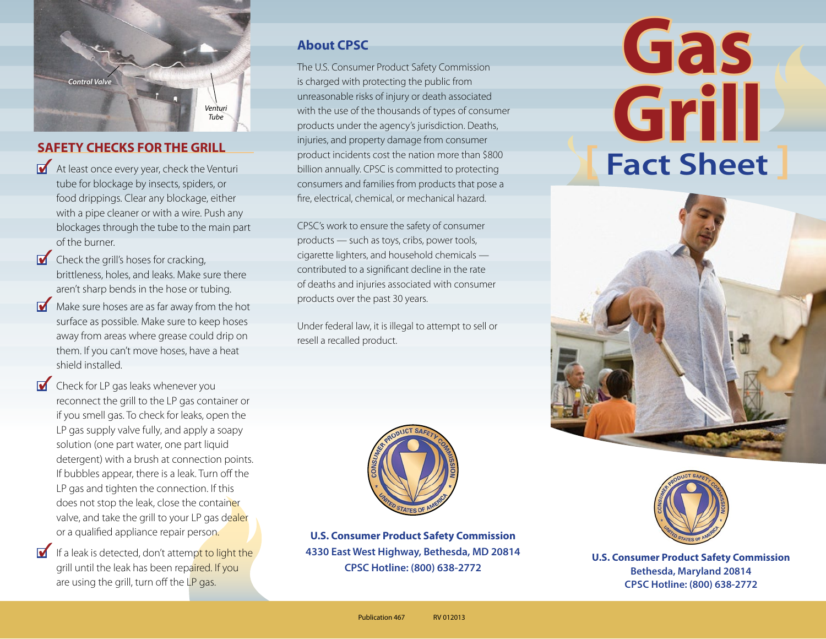

#### **SAFETY CHECKS FOR THE GRILL**

- At least once every year, check the Venturi tube for blockage by insects, spiders, or food drippings. Clear any blockage, either with a pipe cleaner or with a wire. Push any blockages through the tube to the main part of the burner.
- $\bullet$  Check the grill's hoses for cracking, brittleness, holes, and leaks. Make sure there aren't sharp bends in the hose or tubing.
- Make sure hoses are as far away from the hot surface as possible. Make sure to keep hoses away from areas where grease could drip on them. If you can't move hoses, have a heat shield installed.
- Check for LP gas leaks whenever you reconnect the grill to the LP gas container or if you smell gas. To check for leaks, open the LP gas supply valve fully, and apply a soapy solution (one part water, one part liquid detergent) with a brush at connection points. If bubbles appear, there is a leak. Turn off the LP gas and tighten the connection. If this does not stop the leak, close the container valve, and take the grill to your LP gas dealer or a qualified appliance repair person.
- If a leak is detected, don't attempt to light the grill until the leak has been repaired. If you are using the grill, turn off the LP gas.

#### **About CPSC**

The U.S. Consumer Product Safety Commission is charged with protecting the public from unreasonable risks of injury or death associated with the use of the thousands of types of consumer products under the agency's jurisdiction. Deaths, injuries, and property damage from consumer product incidents cost the nation more than \$800 billion annually. CPSC is committed to protecting consumers and families from products that pose a fire, electrical, chemical, or mechanical hazard.

CPSC's work to ensure the safety of consumer products — such as toys, cribs, power tools, cigarette lighters, and household chemicals contributed to a significant decline in the rate of deaths and injuries associated with consumer products over the past 30 years.

Under federal law, it is illegal to attempt to sell or resell a recalled product.



**U.S. Consumer Product Safety Commission 4330 East West Highway, Bethesda, MD 20814 CPSC Hotline: (800) 638-2772**

# **Gas Grill [ Fact Sheet ]**





**U.S. Consumer Product Safety Commission Bethesda, Maryland 20814 cpsc Hotline: (800) 638-2772**